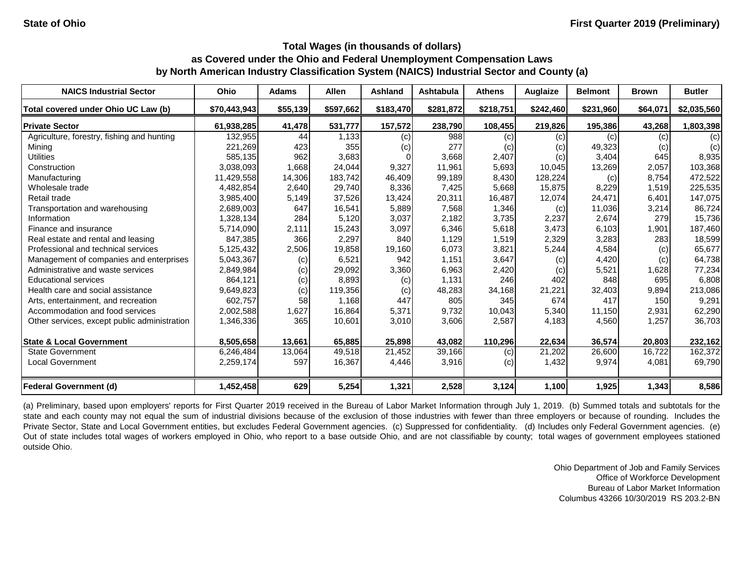| <b>NAICS Industrial Sector</b>               | Ohio         | <b>Adams</b> | <b>Allen</b> | <b>Ashland</b> | Ashtabula | <b>Athens</b> | <b>Auglaize</b> | <b>Belmont</b> | <b>Brown</b> | <b>Butler</b>     |
|----------------------------------------------|--------------|--------------|--------------|----------------|-----------|---------------|-----------------|----------------|--------------|-------------------|
| Total covered under Ohio UC Law (b)          | \$70,443,943 | \$55,139     | \$597,662    | \$183,470      | \$281,872 | \$218,751     | \$242,460       | \$231,960      | \$64,071     | \$2,035,560       |
| <b>Private Sector</b>                        | 61,938,285   | 41,478       | 531,777      | 157,572        | 238,790   | 108,455       | 219,826         | 195,386        | 43,268       | 1,803,398         |
| Agriculture, forestry, fishing and hunting   | 132,955      | 44           | 1,133        | (c)            | 988       | (c)           | (c)             | (c)            | (c)          | $\left( c\right)$ |
| Mining                                       | 221,269      | 423          | 355          | (c)            | 277       | (c)           | (c)             | 49,323         | (c)          | (c)               |
| <b>Utilities</b>                             | 585,135      | 962          | 3,683        |                | 3,668     | 2,407         | (c)             | 3,404          | 645          | 8,935             |
| Construction                                 | 3,038,093    | 1,668        | 24,044       | 9,327          | 11,961    | 5,693         | 10,045          | 13,269         | 2,057        | 103,368           |
| Manufacturing                                | 11,429,558   | 14,306       | 183,742      | 46,409         | 99,189    | 8,430         | 128,224         | (c)            | 8,754        | 472,522           |
| Wholesale trade                              | 4,482,854    | 2,640        | 29,740       | 8,336          | 7,425     | 5,668         | 15,875          | 8,229          | 1,519        | 225,535           |
| Retail trade                                 | 3,985,400    | 5,149        | 37,526       | 13,424         | 20,311    | 16,487        | 12,074          | 24,471         | 6,401        | 147,075           |
| Transportation and warehousing               | 2,689,003    | 647          | 16,541       | 5,889          | 7,568     | 1,346         | (c)             | 11,036         | 3,214        | 86,724            |
| Information                                  | 1,328,134    | 284          | 5,120        | 3,037          | 2,182     | 3,735         | 2,237           | 2,674          | 279          | 15,736            |
| Finance and insurance                        | 5,714,090    | 2,111        | 15,243       | 3,097          | 6,346     | 5,618         | 3,473           | 6,103          | 1,901        | 187,460           |
| Real estate and rental and leasing           | 847,385      | 366          | 2,297        | 840            | 1,129     | 1,519         | 2,329           | 3,283          | 283          | 18,599            |
| Professional and technical services          | 5,125,432    | 2,506        | 19,858       | 19,160         | 6,073     | 3,821         | 5,244           | 4,584          | (c)          | 65,677            |
| Management of companies and enterprises      | 5,043,367    | (c)          | 6,521        | 942            | 1,151     | 3,647         | (c)             | 4,420          | (c)          | 64,738            |
| Administrative and waste services            | 2,849,984    | (c)          | 29,092       | 3,360          | 6,963     | 2,420         | (c)             | 5,521          | 1,628        | 77,234            |
| <b>Educational services</b>                  | 864,121      | (c)          | 8,893        | (c)            | 1,131     | 246           | 402             | 848            | 695          | 6,808             |
| Health care and social assistance            | 9,649,823    | (c)          | 119,356      | (c)            | 48,283    | 34,168        | 21,221          | 32,403         | 9,894        | 213,086           |
| Arts, entertainment, and recreation          | 602,757      | 58           | 1,168        | 447            | 805       | 345           | 674             | 417            | 150          | 9,291             |
| Accommodation and food services              | 2,002,588    | 1,627        | 16,864       | 5,371          | 9,732     | 10,043        | 5,340           | 11,150         | 2,931        | 62,290            |
| Other services, except public administration | 1,346,336    | 365          | 10,601       | 3,010          | 3,606     | 2,587         | 4,183           | 4,560          | 1,257        | 36,703            |
| <b>State &amp; Local Government</b>          | 8,505,658    | 13,661       | 65,885       | 25,898         | 43,082    | 110,296       | 22,634          | 36,574         | 20,803       | 232,162           |
| <b>State Government</b>                      | 6,246,484    | 13,064       | 49,518       | 21,452         | 39,166    | (c)           | 21,202          | 26,600         | 16,722       | 162,372           |
| <b>Local Government</b>                      | 2,259,174    | 597          | 16,367       | 4,446          | 3,916     | (c)           | 1,432           | 9,974          | 4,081        | 69,790            |
| Federal Government (d)                       | 1,452,458    | 629          | 5,254        | 1,321          | 2,528     | 3,124         | 1,100           | 1,925          | 1,343        | 8,586             |

(a) Preliminary, based upon employers' reports for First Quarter 2019 received in the Bureau of Labor Market Information through July 1, 2019. (b) Summed totals and subtotals for the state and each county may not equal the sum of industrial divisions because of the exclusion of those industries with fewer than three employers or because of rounding. Includes the Private Sector, State and Local Government entities, but excludes Federal Government agencies. (c) Suppressed for confidentiality. (d) Includes only Federal Government agencies. (e) Out of state includes total wages of workers employed in Ohio, who report to a base outside Ohio, and are not classifiable by county; total wages of government employees stationed outside Ohio.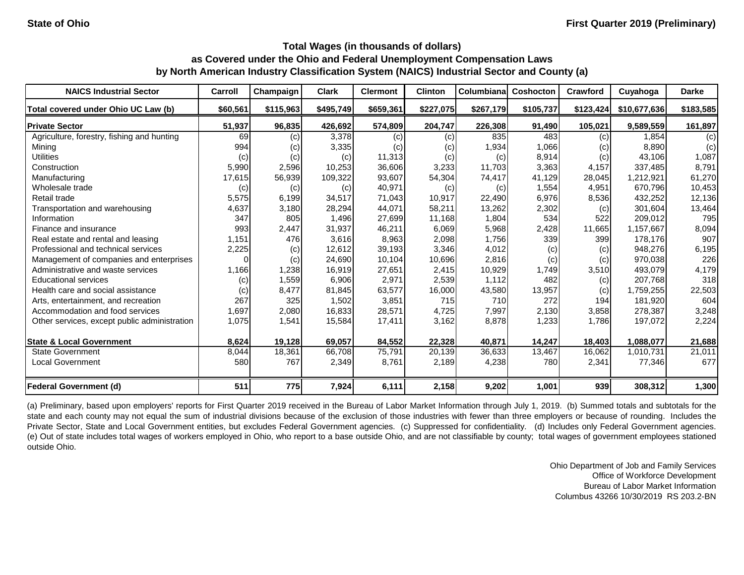| <b>NAICS Industrial Sector</b>               | Carroll  | Champaign | <b>Clark</b> | <b>Clermont</b> | <b>Clinton</b> | Columbiana | <b>Coshocton</b> | Crawford  | Cuyahoga     | <b>Darke</b> |
|----------------------------------------------|----------|-----------|--------------|-----------------|----------------|------------|------------------|-----------|--------------|--------------|
| Total covered under Ohio UC Law (b)          | \$60,561 | \$115,963 | \$495,749    | \$659,361       | \$227,075      | \$267,179  | \$105,737        | \$123,424 | \$10,677,636 | \$183,585    |
| <b>Private Sector</b>                        | 51,937   | 96,835    | 426,692      | 574,809         | 204,747        | 226,308    | 91,490           | 105,021   | 9,589,559    | 161,897      |
| Agriculture, forestry, fishing and hunting   | 69       | (c)       | 3,378        | (c)             | (c)            | 835        | 483              | (c)       | 1,854        | (c)          |
| Mining                                       | 994      | (c)       | 3,335        | (c)             | (c)            | 1,934      | 1,066            | (c)       | 8,890        | (c)          |
| <b>Utilities</b>                             | (c)      | (c)       | (c)          | 11,313          | (c)            | (c)        | 8,914            | (c)       | 43,106       | 1,087        |
| Construction                                 | 5,990    | 2,596     | 10,253       | 36,606          | 3,233          | 11,703     | 3,363            | 4,157     | 337,485      | 8,791        |
| Manufacturing                                | 17,615   | 56,939    | 109,322      | 93,607          | 54,304         | 74,417     | 41,129           | 28,045    | 1,212,921    | 61,270       |
| Wholesale trade                              | (c)      | (c)       | (c)          | 40,971          | (c)            | (c)        | 1,554            | 4,951     | 670,796      | 10,453       |
| Retail trade                                 | 5,575    | 6,199     | 34,517       | 71,043          | 10,917         | 22,490     | 6,976            | 8,536     | 432,252      | 12,136       |
| Transportation and warehousing               | 4,637    | 3,180     | 28,294       | 44,071          | 58,211         | 13,262     | 2,302            | (c)       | 301,604      | 13,464       |
| Information                                  | 347      | 805       | 1,496        | 27,699          | 11,168         | 1,804      | 534              | 522       | 209,012      | 795          |
| Finance and insurance                        | 993      | 2,447     | 31,937       | 46,211          | 6,069          | 5,968      | 2,428            | 11,665    | 1,157,667    | 8,094        |
| Real estate and rental and leasing           | 1,151    | 476       | 3,616        | 8,963           | 2,098          | 1,756      | 339              | 399       | 178,176      | 907          |
| Professional and technical services          | 2,225    | (c)       | 12,612       | 39,193          | 3,346          | 4,012      | (c)              | (c)       | 948,276      | 6,195        |
| Management of companies and enterprises      |          | (c)       | 24,690       | 10,104          | 10,696         | 2,816      | (c)              | (c)       | 970,038      | 226          |
| Administrative and waste services            | 1,166    | 1,238     | 16,919       | 27,651          | 2,415          | 10,929     | 1,749            | 3,510     | 493,079      | 4,179        |
| <b>Educational services</b>                  | (c)      | 1,559     | 6,906        | 2,971           | 2,539          | 1,112      | 482              | (c)       | 207,768      | 318          |
| Health care and social assistance            | (c)      | 8,477     | 81,845       | 63,577          | 16,000         | 43,580     | 13,957           | (c)       | 1,759,255    | 22,503       |
| Arts, entertainment, and recreation          | 267      | 325       | 1,502        | 3,851           | 715            | 710        | 272              | 194       | 181,920      | 604          |
| Accommodation and food services              | 1,697    | 2,080     | 16,833       | 28,571          | 4,725          | 7,997      | 2,130            | 3,858     | 278,387      | 3,248        |
| Other services, except public administration | 1,075    | 1,541     | 15,584       | 17,411          | 3,162          | 8,878      | 1,233            | 1,786     | 197,072      | 2,224        |
| <b>State &amp; Local Government</b>          | 8,624    | 19,128    | 69,057       | 84,552          | 22,328         | 40,871     | 14,247           | 18,403    | 1,088,077    | 21,688       |
| State Government                             | 8,044    | 18,361    | 66,708       | 75,791          | 20,139         | 36,633     | 13,467           | 16,062    | 1,010,731    | 21,011       |
| <b>Local Government</b>                      | 580      | 767       | 2,349        | 8,761           | 2,189          | 4,238      | 780              | 2,341     | 77,346       | 677          |
| <b>Federal Government (d)</b>                | 511      | 775       | 7,924        | 6,111           | 2,158          | 9,202      | 1,001            | 939       | 308,312      | 1,300        |

(a) Preliminary, based upon employers' reports for First Quarter 2019 received in the Bureau of Labor Market Information through July 1, 2019. (b) Summed totals and subtotals for the state and each county may not equal the sum of industrial divisions because of the exclusion of those industries with fewer than three employers or because of rounding. Includes the Private Sector, State and Local Government entities, but excludes Federal Government agencies. (c) Suppressed for confidentiality. (d) Includes only Federal Government agencies. (e) Out of state includes total wages of workers employed in Ohio, who report to a base outside Ohio, and are not classifiable by county; total wages of government employees stationed outside Ohio.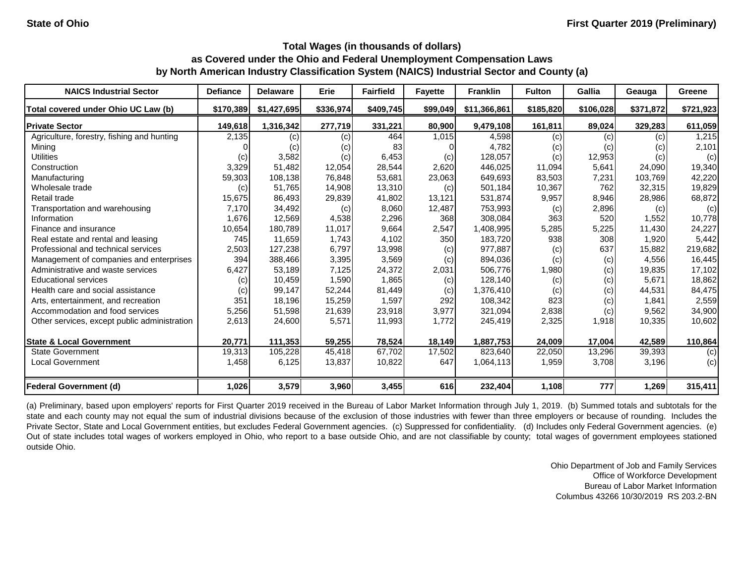| <b>NAICS Industrial Sector</b>               | <b>Defiance</b> | <b>Delaware</b> | <b>Erie</b> | <b>Fairfield</b> | <b>Fayette</b> | <b>Franklin</b> | <b>Fulton</b> | Gallia    | Geauga    | Greene    |
|----------------------------------------------|-----------------|-----------------|-------------|------------------|----------------|-----------------|---------------|-----------|-----------|-----------|
| Total covered under Ohio UC Law (b)          | \$170,389       | \$1,427,695     | \$336,974   | \$409,745        | \$99,049       | \$11,366,861    | \$185,820     | \$106,028 | \$371,872 | \$721,923 |
| <b>Private Sector</b>                        | 149,618         | 1,316,342       | 277,719     | 331,221          | 80,900         | 9,479,108       | 161,811       | 89,024    | 329,283   | 611,059   |
| Agriculture, forestry, fishing and hunting   | 2,135           | (c)             | (c)         | 464              | 1,015          | 4,598           | (c)           | (c)       | (c)       | 1,215     |
| Mining                                       |                 | (c)             | (c)         | 83               |                | 4,782           | (c)           | (c)       | (C)       | 2,101     |
| <b>Utilities</b>                             | (c)             | 3,582           | (c)         | 6,453            | (c)            | 128,057         | (c)           | 12,953    | (c)       | (c)       |
| Construction                                 | 3,329           | 51,482          | 12,054      | 28,544           | 2,620          | 446,025         | 11,094        | 5,641     | 24,090    | 19,340    |
| Manufacturing                                | 59,303          | 108,138         | 76,848      | 53,681           | 23,063         | 649,693         | 83,503        | 7,231     | 103,769   | 42,220    |
| Wholesale trade                              | (c)             | 51,765          | 14,908      | 13,310           | (c)            | 501,184         | 10,367        | 762       | 32,315    | 19,829    |
| Retail trade                                 | 15,675          | 86,493          | 29,839      | 41,802           | 13,121         | 531,874         | 9,957         | 8,946     | 28,986    | 68,872    |
| Transportation and warehousing               | 7,170           | 34,492          | (c)         | 8,060            | 12,487         | 753,993         | (c)           | 2,896     | (c)       | (c)       |
| Information                                  | 1,676           | 12,569          | 4,538       | 2,296            | 368            | 308,084         | 363           | 520       | 1,552     | 10,778    |
| Finance and insurance                        | 10,654          | 180,789         | 11,017      | 9,664            | 2,547          | 1,408,995       | 5,285         | 5,225     | 11,430    | 24,227    |
| Real estate and rental and leasing           | 745             | 11,659          | 1,743       | 4,102            | 350            | 183,720         | 938           | 308       | 1,920     | 5,442     |
| Professional and technical services          | 2,503           | 127,238         | 6,797       | 13,998           | (c)            | 977,887         | (c)           | 637       | 15,882    | 219,682   |
| Management of companies and enterprises      | 394             | 388,466         | 3,395       | 3,569            | (c)            | 894,036         | (c)           | (c)       | 4,556     | 16,445    |
| Administrative and waste services            | 6,427           | 53,189          | 7,125       | 24,372           | 2,031          | 506,776         | 1,980         | (c)       | 19,835    | 17,102    |
| <b>Educational services</b>                  | (c)             | 10,459          | 1,590       | 1,865            | (c)            | 128,140         | (c)           | (c)       | 5,671     | 18,862    |
| Health care and social assistance            | (c)             | 99,147          | 52,244      | 81,449           | (c)            | 1,376,410       | (c)           | (c)       | 44,531    | 84,475    |
| Arts, entertainment, and recreation          | 351             | 18,196          | 15,259      | 1,597            | 292            | 108,342         | 823           | (c)       | 1,841     | 2,559     |
| Accommodation and food services              | 5,256           | 51,598          | 21,639      | 23,918           | 3,977          | 321,094         | 2,838         | (c)       | 9,562     | 34,900    |
| Other services, except public administration | 2,613           | 24,600          | 5,571       | 11,993           | 1,772          | 245,419         | 2,325         | 1,918     | 10,335    | 10,602    |
| <b>State &amp; Local Government</b>          | 20,771          | 111,353         | 59,255      | 78,524           | 18,149         | 1,887,753       | 24,009        | 17,004    | 42,589    | 110,864   |
| State Government                             | 19,313          | 105,228         | 45,418      | 67,702           | 17,502         | 823,640         | 22,050        | 13,296    | 39,393    | (c)       |
| <b>Local Government</b>                      | 1,458           | 6,125           | 13,837      | 10,822           | 647            | 1,064,113       | 1,959         | 3,708     | 3,196     | (c)       |
| <b>Federal Government (d)</b>                | 1,026           | 3,579           | 3,960       | 3,455            | 616            | 232,404         | 1,108         | 777       | 1,269     | 315,411   |

(a) Preliminary, based upon employers' reports for First Quarter 2019 received in the Bureau of Labor Market Information through July 1, 2019. (b) Summed totals and subtotals for the state and each county may not equal the sum of industrial divisions because of the exclusion of those industries with fewer than three employers or because of rounding. Includes the Private Sector, State and Local Government entities, but excludes Federal Government agencies. (c) Suppressed for confidentiality. (d) Includes only Federal Government agencies. (e) Out of state includes total wages of workers employed in Ohio, who report to a base outside Ohio, and are not classifiable by county; total wages of government employees stationed outside Ohio.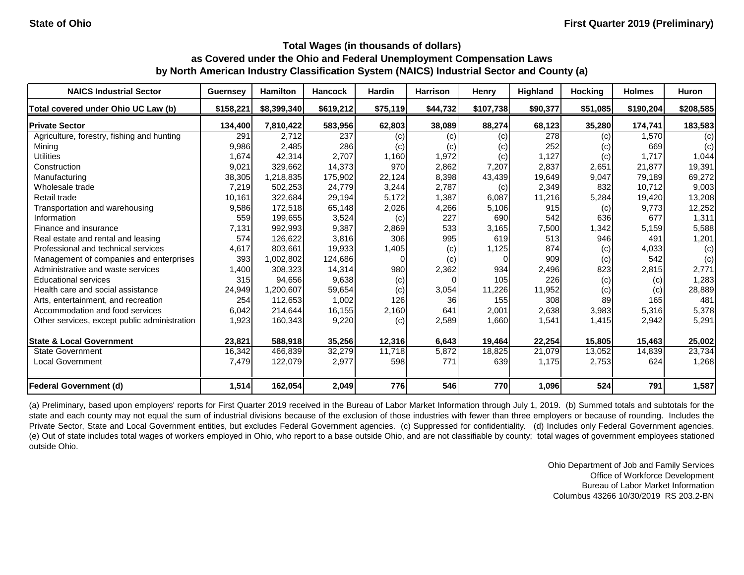| <b>NAICS Industrial Sector</b>               | <b>Guernsey</b> | <b>Hamilton</b> | <b>Hancock</b> | <b>Hardin</b> | <b>Harrison</b> | Henry     | <b>Highland</b> | <b>Hocking</b> | <b>Holmes</b> | <b>Huron</b> |
|----------------------------------------------|-----------------|-----------------|----------------|---------------|-----------------|-----------|-----------------|----------------|---------------|--------------|
| Total covered under Ohio UC Law (b)          | \$158,221       | \$8,399,340     | \$619,212      | \$75,119      | \$44,732        | \$107,738 | \$90,377        | \$51,085       | \$190,204     | \$208,585    |
| <b>Private Sector</b>                        | 134,400         | 7,810,422       | 583,956        | 62,803        | 38,089          | 88,274    | 68,123          | 35,280         | 174,741       | 183,583      |
| Agriculture, forestry, fishing and hunting   | 291             | 2,712           | 237            | (c)           | (c)             | (c)       | 278             | (c)            | 1,570         | (c)          |
| Mining                                       | 9,986           | 2,485           | 286            | (c)           | (c)             | (c)       | 252             | (c)            | 669           | (c)          |
| <b>Utilities</b>                             | 1,674           | 42,314          | 2,707          | 1,160         | 1,972           | (c)       | 1,127           | (c)            | 1,717         | 1,044        |
| Construction                                 | 9,021           | 329,662         | 14,373         | 970           | 2,862           | 7,207     | 2,837           | 2,651          | 21,877        | 19,391       |
| Manufacturing                                | 38,305          | 1,218,835       | 175,902        | 22,124        | 8,398           | 43,439    | 19,649          | 9,047          | 79,189        | 69,272       |
| Wholesale trade                              | 7,219           | 502,253         | 24,779         | 3,244         | 2,787           | (c)       | 2,349           | 832            | 10,712        | 9,003        |
| Retail trade                                 | 10,161          | 322,684         | 29,194         | 5,172         | 1,387           | 6,087     | 11,216          | 5,284          | 19,420        | 13,208       |
| Transportation and warehousing               | 9,586           | 172,518         | 65,148         | 2,026         | 4,266           | 5,106     | 915             | (c)            | 9,773         | 12,252       |
| Information                                  | 559             | 199,655         | 3,524          | (c)           | 227             | 690       | 542             | 636            | 677           | 1,311        |
| Finance and insurance                        | 7,131           | 992,993         | 9,387          | 2,869         | 533             | 3,165     | 7,500           | 1,342          | 5,159         | 5,588        |
| Real estate and rental and leasing           | 574             | 126,622         | 3,816          | 306           | 995             | 619       | 513             | 946            | 491           | 1,201        |
| Professional and technical services          | 4,617           | 803,661         | 19,933         | 1,405         | (c)             | 1,125     | 874             | (c)            | 4,033         | (c)          |
| Management of companies and enterprises      | 393             | 1,002,802       | 124,686        |               | (c)             |           | 909             | (c)            | 542           | (c)          |
| Administrative and waste services            | 1,400           | 308,323         | 14,314         | 980           | 2,362           | 934       | 2,496           | 823            | 2,815         | 2,771        |
| <b>Educational services</b>                  | 315             | 94,656          | 9,638          | (c)           |                 | 105       | 226             | (c)            | (c)           | 1,283        |
| Health care and social assistance            | 24,949          | 1,200,607       | 59,654         | (c)           | 3,054           | 11,226    | 11,952          | (c)            | (c)           | 28,889       |
| Arts, entertainment, and recreation          | 254             | 112,653         | 1,002          | 126           | 36              | 155       | 308             | 89             | 165           | 481          |
| Accommodation and food services              | 6,042           | 214,644         | 16,155         | 2,160         | 641             | 2,001     | 2,638           | 3,983          | 5,316         | 5,378        |
| Other services, except public administration | 1,923           | 160,343         | 9,220          | (c)           | 2,589           | 1,660     | 1,541           | 1,415          | 2,942         | 5,291        |
| <b>State &amp; Local Government</b>          | 23,821          | 588,918         | 35,256         | 12,316        | 6,643           | 19,464    | 22,254          | 15,805         | 15,463        | 25,002       |
| <b>State Government</b>                      | 16,342          | 466,839         | 32,279         | 11,718        | 5,872           | 18,825    | 21,079          | 13,052         | 14,839        | 23,734       |
| <b>Local Government</b>                      | 7,479           | 122,079         | 2,977          | 598           | 771             | 639       | 1,175           | 2,753          | 624           | 1,268        |
| <b>Federal Government (d)</b>                | 1,514           | 162,054         | 2,049          | 776           | 546             | 770       | 1,096           | 524            | 791           | 1,587        |

(a) Preliminary, based upon employers' reports for First Quarter 2019 received in the Bureau of Labor Market Information through July 1, 2019. (b) Summed totals and subtotals for the state and each county may not equal the sum of industrial divisions because of the exclusion of those industries with fewer than three employers or because of rounding. Includes the Private Sector, State and Local Government entities, but excludes Federal Government agencies. (c) Suppressed for confidentiality. (d) Includes only Federal Government agencies. (e) Out of state includes total wages of workers employed in Ohio, who report to a base outside Ohio, and are not classifiable by county; total wages of government employees stationed outside Ohio.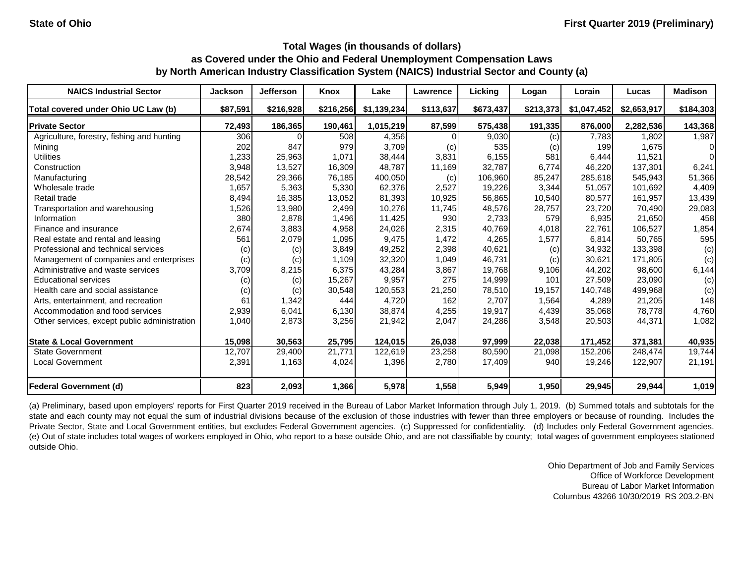| <b>NAICS Industrial Sector</b>               | <b>Jackson</b> | <b>Jefferson</b> | Knox      | Lake        | Lawrence  | Licking   | Logan     | Lorain      | Lucas       | <b>Madison</b> |
|----------------------------------------------|----------------|------------------|-----------|-------------|-----------|-----------|-----------|-------------|-------------|----------------|
| Total covered under Ohio UC Law (b)          | \$87,591       | \$216,928        | \$216,256 | \$1,139,234 | \$113,637 | \$673,437 | \$213,373 | \$1,047,452 | \$2,653,917 | \$184,303      |
| <b>Private Sector</b>                        | 72,493         | 186,365          | 190,461   | 1,015,219   | 87,599    | 575,438   | 191,335   | 876,000     | 2,282,536   | 143,368        |
| Agriculture, forestry, fishing and hunting   | 306            |                  | 508       | 4,356       |           | 9,030     | (c)       | 7,783       | 1,802       | 1,987          |
| Mining                                       | 202            | 847              | 979       | 3,709       | (c)       | 535       | (c)       | 199         | 1,675       | 01             |
| <b>Utilities</b>                             | 1,233          | 25,963           | 1,071     | 38,444      | 3,831     | 6,155     | 581       | 6,444       | 11,521      | $\Omega$       |
| Construction                                 | 3,948          | 13,527           | 16,309    | 48,787      | 11,169    | 32,787    | 6,774     | 46,220      | 137,301     | 6,241          |
| Manufacturing                                | 28,542         | 29,366           | 76,185    | 400,050     | (c)       | 106,960   | 85,247    | 285,618     | 545,943     | 51,366         |
| Wholesale trade                              | 1,657          | 5,363            | 5,330     | 62,376      | 2,527     | 19,226    | 3,344     | 51,057      | 101,692     | 4,409          |
| Retail trade                                 | 8,494          | 16,385           | 13,052    | 81,393      | 10,925    | 56,865    | 10,540    | 80,577      | 161,957     | 13,439         |
| Transportation and warehousing               | 1,526          | 13,980           | 2,499     | 10,276      | 11,745    | 48,576    | 28,757    | 23,720      | 70,490      | 29,083         |
| Information                                  | 380            | 2,878            | 1,496     | 11,425      | 930       | 2,733     | 579       | 6,935       | 21,650      | 458            |
| Finance and insurance                        | 2,674          | 3,883            | 4,958     | 24,026      | 2,315     | 40,769    | 4,018     | 22,761      | 106,527     | 1,854          |
| Real estate and rental and leasing           | 561            | 2,079            | 1,095     | 9,475       | 1,472     | 4,265     | 1,577     | 6,814       | 50,765      | 595            |
| Professional and technical services          | (c)            | (c)              | 3,849     | 49,252      | 2,398     | 40,621    | (c)       | 34,932      | 133,398     | (c)            |
| Management of companies and enterprises      | (c)            | (c)              | 1,109     | 32,320      | 1,049     | 46,731    | (c)       | 30,621      | 171,805     | (c)            |
| Administrative and waste services            | 3,709          | 8,215            | 6,375     | 43,284      | 3,867     | 19,768    | 9,106     | 44,202      | 98,600      | 6,144          |
| <b>Educational services</b>                  | (c)            | (c)              | 15,267    | 9,957       | 275       | 14,999    | 101       | 27,509      | 23,090      | (c)            |
| Health care and social assistance            | (c)            | (c)              | 30,548    | 120,553     | 21,250    | 78,510    | 19,157    | 140,748     | 499,968     | (c)            |
| Arts, entertainment, and recreation          | 61             | 1,342            | 444       | 4,720       | 162       | 2,707     | 1,564     | 4,289       | 21,205      | 148            |
| Accommodation and food services              | 2,939          | 6,041            | 6,130     | 38,874      | 4,255     | 19,917    | 4,439     | 35,068      | 78,778      | 4,760          |
| Other services, except public administration | 1,040          | 2,873            | 3,256     | 21,942      | 2,047     | 24,286    | 3,548     | 20,503      | 44,371      | 1,082          |
| <b>State &amp; Local Government</b>          | 15,098         | 30,563           | 25,795    | 124,015     | 26,038    | 97,999    | 22,038    | 171,452     | 371,381     | 40,935         |
| <b>State Government</b>                      | 12,707         | 29,400           | 21,771    | 122,619     | 23,258    | 80,590    | 21,098    | 152,206     | 248,474     | 19,744         |
| <b>Local Government</b>                      | 2,391          | 1,163            | 4,024     | 1,396       | 2,780     | 17,409    | 940       | 19,246      | 122,907     | 21,191         |
| <b>Federal Government (d)</b>                | 823            | 2,093            | 1,366     | 5,978       | 1,558     | 5,949     | 1,950     | 29,945      | 29,944      | 1,019          |

(a) Preliminary, based upon employers' reports for First Quarter 2019 received in the Bureau of Labor Market Information through July 1, 2019. (b) Summed totals and subtotals for the state and each county may not equal the sum of industrial divisions because of the exclusion of those industries with fewer than three employers or because of rounding. Includes the Private Sector, State and Local Government entities, but excludes Federal Government agencies. (c) Suppressed for confidentiality. (d) Includes only Federal Government agencies. (e) Out of state includes total wages of workers employed in Ohio, who report to a base outside Ohio, and are not classifiable by county; total wages of government employees stationed outside Ohio.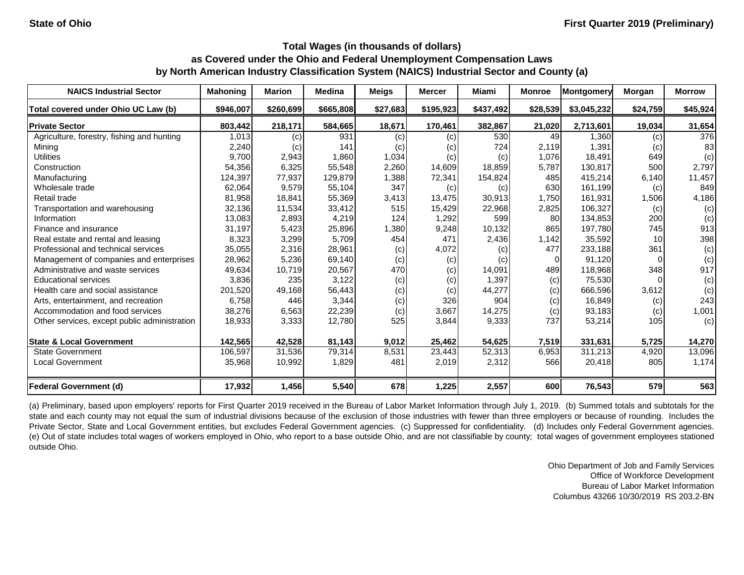| <b>NAICS Industrial Sector</b>               | <b>Mahoning</b> | <b>Marion</b> | <b>Medina</b> | <b>Meigs</b> | <b>Mercer</b> | Miami     | <b>Monroe</b> | <b>Montgomery</b> | Morgan          | <b>Morrow</b> |
|----------------------------------------------|-----------------|---------------|---------------|--------------|---------------|-----------|---------------|-------------------|-----------------|---------------|
| Total covered under Ohio UC Law (b)          | \$946,007       | \$260,699     | \$665,808     | \$27,683     | \$195,923     | \$437,492 | \$28,539      | \$3,045,232       | \$24,759        | \$45,924      |
| <b>Private Sector</b>                        | 803,442         | 218,171       | 584,665       | 18,671       | 170,461       | 382,867   | 21,020        | 2,713,601         | 19,034          | 31,654        |
| Agriculture, forestry, fishing and hunting   | 1,013           | (c)           | 931           | (c)          | (c)           | 530       | 49            | 1,360             | (c)             | 376           |
| Mining                                       | 2,240           | (c)           | 141           | (c)          | (c)           | 724       | 2,119         | 1,391             | (c)             | 83            |
| <b>Utilities</b>                             | 9,700           | 2,943         | 1,860         | 1,034        | (c)           | (c)       | 1,076         | 18,491            | 649             | (c)           |
| Construction                                 | 54,356          | 6,325         | 55,548        | 2,260        | 14,609        | 18,859    | 5,787         | 130,817           | 500             | 2,797         |
| Manufacturing                                | 124,397         | 77,937        | 129,879       | 1,388        | 72,341        | 154,824   | 485           | 415,214           | 6,140           | 11,457        |
| Wholesale trade                              | 62,064          | 9,579         | 55,104        | 347          | (c)           | (c)       | 630           | 161,199           | (c)             | 849           |
| Retail trade                                 | 81,958          | 18,841        | 55,369        | 3,413        | 13,475        | 30,913    | 1,750         | 161,931           | 1,506           | 4,186         |
| Transportation and warehousing               | 32,136          | 11,534        | 33,412        | 515          | 15,429        | 22,968    | 2,825         | 106,327           | (c)             | (c)           |
| Information                                  | 13,083          | 2,893         | 4,219         | 124          | 1,292         | 599       | 80            | 134,853           | 200             | (c)           |
| Finance and insurance                        | 31,197          | 5,423         | 25,896        | 1,380        | 9,248         | 10,132    | 865           | 197,780           | 745             | 913           |
| Real estate and rental and leasing           | 8,323           | 3,299         | 5,709         | 454          | 471           | 2,436     | 1,142         | 35,592            | 10 <sup>1</sup> | 398           |
| Professional and technical services          | 35,055          | 2,316         | 28,961        | (c)          | 4,072         | (c)       | 477           | 233,188           | 361             | (c)           |
| Management of companies and enterprises      | 28,962          | 5,236         | 69,140        | (c)          | (c)           | (c)       | $\Omega$      | 91,120            |                 | (c)           |
| Administrative and waste services            | 49,634          | 10,719        | 20,567        | 470          | (c)           | 14,091    | 489           | 118,968           | 348             | 917           |
| <b>Educational services</b>                  | 3,836           | 235           | 3,122         | (c)          | (c)           | 1,397     | (c)           | 75,530            |                 | (c)           |
| Health care and social assistance            | 201,520         | 49,168        | 56,443        | (c)          | (c)           | 44,277    | (c)           | 666,596           | 3,612           | (c)           |
| Arts, entertainment, and recreation          | 6,758           | 446           | 3,344         | (c)          | 326           | 904       | (c)           | 16,849            | (c)             | 243           |
| Accommodation and food services              | 38,276          | 6,563         | 22,239        | (c)          | 3,667         | 14,275    | (c)           | 93,183            | (c)             | 1,001         |
| Other services, except public administration | 18,933          | 3,333         | 12,780        | 525          | 3,844         | 9,333     | 737           | 53,214            | 105             | (c)           |
| <b>State &amp; Local Government</b>          | 142,565         | 42,528        | 81,143        | 9,012        | 25,462        | 54,625    | 7,519         | 331,631           | 5,725           | 14,270        |
| <b>State Government</b>                      | 106,597         | 31,536        | 79,314        | 8,531        | 23,443        | 52,313    | 6,953         | 311,213           | 4,920           | 13,096        |
| <b>Local Government</b>                      | 35,968          | 10,992        | 1,829         | 481          | 2,019         | 2,312     | 566           | 20,418            | 805             | 1,174         |
| <b>Federal Government (d)</b>                | 17,932          | 1,456         | 5,540         | 678          | 1,225         | 2,557     | 600           | 76,543            | 579             | 563           |

(a) Preliminary, based upon employers' reports for First Quarter 2019 received in the Bureau of Labor Market Information through July 1, 2019. (b) Summed totals and subtotals for the state and each county may not equal the sum of industrial divisions because of the exclusion of those industries with fewer than three employers or because of rounding. Includes the Private Sector, State and Local Government entities, but excludes Federal Government agencies. (c) Suppressed for confidentiality. (d) Includes only Federal Government agencies. (e) Out of state includes total wages of workers employed in Ohio, who report to a base outside Ohio, and are not classifiable by county; total wages of government employees stationed outside Ohio.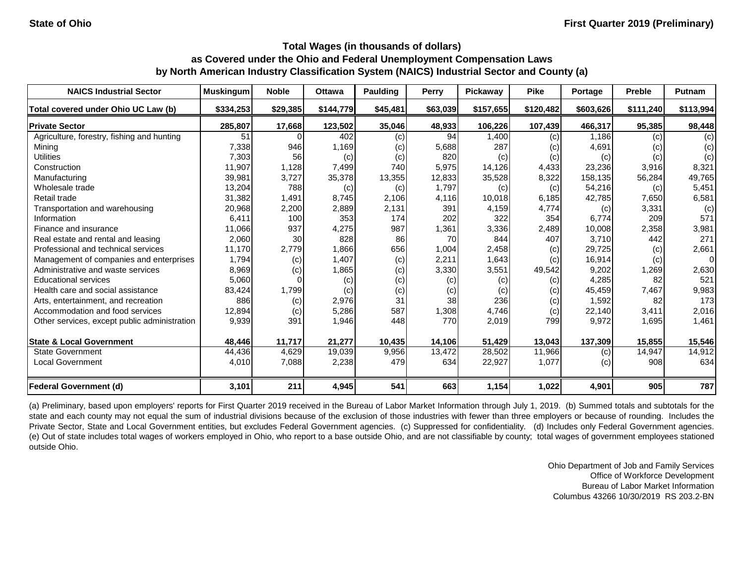| <b>NAICS Industrial Sector</b>               | <b>Muskingum</b> | <b>Noble</b> | <b>Ottawa</b> | <b>Paulding</b> | Perry    | Pickaway  | <b>Pike</b> | Portage   | <b>Preble</b> | Putnam         |
|----------------------------------------------|------------------|--------------|---------------|-----------------|----------|-----------|-------------|-----------|---------------|----------------|
| Total covered under Ohio UC Law (b)          | \$334,253        | \$29,385     | \$144,779     | \$45,481        | \$63,039 | \$157,655 | \$120,482   | \$603,626 | \$111,240     | \$113,994      |
| <b>Private Sector</b>                        | 285,807          | 17,668       | 123,502       | 35,046          | 48,933   | 106,226   | 107,439     | 466,317   | 95,385        | 98,448         |
| Agriculture, forestry, fishing and hunting   | 51               |              | 402           | (c)             | 94       | 1,400     | (c)         | 1,186     | (c)           | (c)            |
| Mining                                       | 7,338            | 946          | 1,169         | (c)             | 5,688    | 287       | (c)         | 4,691     | (c)           | (c)            |
| <b>Utilities</b>                             | 7,303            | 56           | (c)           | (c)             | 820      | (c)       | (c)         | (c)       | (c)           | (c)            |
| Construction                                 | 11,907           | 1,128        | 7,499         | 740             | 5,975    | 14,126    | 4,433       | 23,236    | 3,916         | 8,321          |
| Manufacturing                                | 39,981           | 3,727        | 35,378        | 13,355          | 12,833   | 35,528    | 8,322       | 158,135   | 56,284        | 49,765         |
| Wholesale trade                              | 13,204           | 788          | (c)           | (c)             | 1,797    | (c)       | (c)         | 54,216    | (c)           | 5,451          |
| Retail trade                                 | 31,382           | 1,491        | 8,745         | 2,106           | 4,116    | 10,018    | 6,185       | 42,785    | 7,650         | 6,581          |
| Transportation and warehousing               | 20,968           | 2,200        | 2,889         | 2,131           | 391      | 4,159     | 4,774       | (c)       | 3,331         | (c)            |
| Information                                  | 6,411            | 100          | 353           | 174             | 202      | 322       | 354         | 6,774     | 209           | 571            |
| Finance and insurance                        | 11,066           | 937          | 4,275         | 987             | 1,361    | 3,336     | 2,489       | 10,008    | 2,358         | 3,981          |
| Real estate and rental and leasing           | 2,060            | 30           | 828           | 86              | 70       | 844       | 407         | 3,710     | 442           | 271            |
| Professional and technical services          | 11,170           | 2,779        | 1,866         | 656             | 1,004    | 2,458     | (c)         | 29,725    | (c)           | 2,661          |
| Management of companies and enterprises      | 1,794            | (c)          | 1,407         | (c)             | 2,211    | 1,643     | (c)         | 16,914    | (c)           | $\overline{0}$ |
| Administrative and waste services            | 8,969            | (c)          | 1,865         | (c)             | 3,330    | 3,551     | 49,542      | 9,202     | 1,269         | 2,630          |
| <b>Educational services</b>                  | 5,060            |              | (c)           | (c)             | (c)      | (c)       | (c)         | 4,285     | 82            | 521            |
| Health care and social assistance            | 83,424           | 1,799        | (c)           | (c)             | (c)      | (c)       | (c)         | 45,459    | 7,467         | 9,983          |
| Arts, entertainment, and recreation          | 886              | (c)          | 2,976         | 31              | 38       | 236       | (c)         | 1,592     | 82            | 173            |
| Accommodation and food services              | 12,894           | (c)          | 5,286         | 587             | 1,308    | 4,746     | (c)         | 22,140    | 3,411         | 2,016          |
| Other services, except public administration | 9,939            | 391          | 1,946         | 448             | 770      | 2,019     | 799         | 9,972     | 1,695         | 1,461          |
| <b>State &amp; Local Government</b>          | 48,446           | 11,717       | 21,277        | 10,435          | 14,106   | 51,429    | 13,043      | 137,309   | 15,855        | 15,546         |
| <b>State Government</b>                      | 44,436           | 4,629        | 19,039        | 9,956           | 13,472   | 28,502    | 11,966      | (c)       | 14,947        | 14,912         |
| <b>Local Government</b>                      | 4,010            | 7,088        | 2,238         | 479             | 634      | 22,927    | 1,077       | (c)       | 908           | 634            |
| <b>Federal Government (d)</b>                | 3,101            | 211          | 4,945         | 541             | 663      | 1,154     | 1,022       | 4,901     | 905           | 787            |

(a) Preliminary, based upon employers' reports for First Quarter 2019 received in the Bureau of Labor Market Information through July 1, 2019. (b) Summed totals and subtotals for the state and each county may not equal the sum of industrial divisions because of the exclusion of those industries with fewer than three employers or because of rounding. Includes the Private Sector, State and Local Government entities, but excludes Federal Government agencies. (c) Suppressed for confidentiality. (d) Includes only Federal Government agencies. (e) Out of state includes total wages of workers employed in Ohio, who report to a base outside Ohio, and are not classifiable by county; total wages of government employees stationed outside Ohio.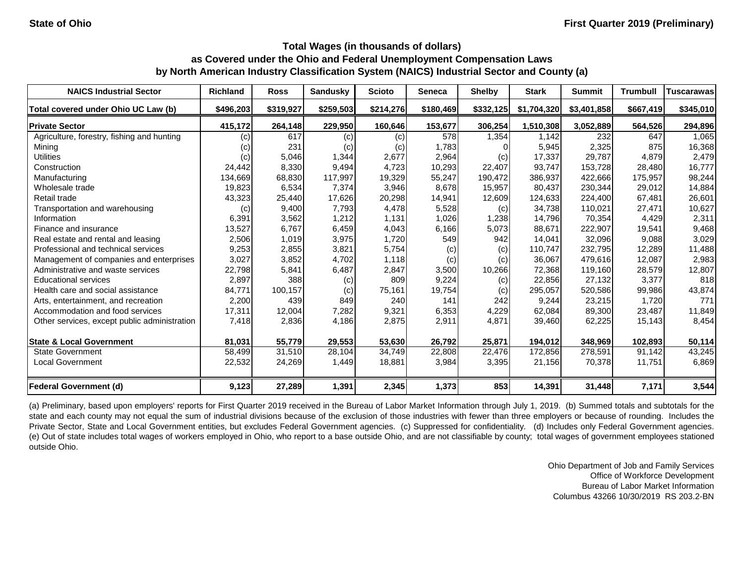| <b>NAICS Industrial Sector</b>               | <b>Richland</b> | <b>Ross</b> | <b>Sandusky</b> | <b>Scioto</b> | <b>Seneca</b> | <b>Shelby</b> | <b>Stark</b> | <b>Summit</b> | <b>Trumbull</b> | Tuscarawas |
|----------------------------------------------|-----------------|-------------|-----------------|---------------|---------------|---------------|--------------|---------------|-----------------|------------|
| Total covered under Ohio UC Law (b)          | \$496,203       | \$319,927   | \$259,503       | \$214,276     | \$180,469     | \$332,125     | \$1,704,320  | \$3,401,858   | \$667,419       | \$345,010  |
| <b>Private Sector</b>                        | 415,172         | 264,148     | 229,950         | 160,646       | 153,677       | 306,254       | 1,510,308    | 3,052,889     | 564,526         | 294,896    |
| Agriculture, forestry, fishing and hunting   | (c)             | 617         | (c)             | (c)           | 578           | 1,354         | 1,142        | 232           | 647             | 1,065      |
| Mining                                       | (c)             | 231         | (c)             | (c)           | 1,783         |               | 5,945        | 2,325         | 875             | 16,368     |
| <b>Utilities</b>                             | (c)             | 5,046       | 1,344           | 2,677         | 2,964         | (c)           | 17,337       | 29,787        | 4,879           | 2,479      |
| Construction                                 | 24,442          | 8,330       | 9,494           | 4,723         | 10,293        | 22,407        | 93,747       | 153,728       | 28,480          | 16,777     |
| Manufacturing                                | 134,669         | 68,830      | 117,997         | 19,329        | 55,247        | 190,472       | 386,937      | 422,666       | 175,957         | 98,244     |
| Wholesale trade                              | 19,823          | 6,534       | 7,374           | 3,946         | 8,678         | 15,957        | 80,437       | 230,344       | 29,012          | 14,884     |
| Retail trade                                 | 43,323          | 25,440      | 17,626          | 20,298        | 14,941        | 12,609        | 124,633      | 224,400       | 67,481          | 26,601     |
| Transportation and warehousing               | (c)             | 9,400       | 7,793           | 4,478         | 5,528         | (c)           | 34,738       | 110,021       | 27,471          | 10,627     |
| Information                                  | 6,391           | 3,562       | 1,212           | 1,131         | 1,026         | 1,238         | 14,796       | 70,354        | 4,429           | 2,311      |
| Finance and insurance                        | 13,527          | 6,767       | 6,459           | 4,043         | 6,166         | 5,073         | 88,671       | 222,907       | 19,541          | 9,468      |
| Real estate and rental and leasing           | 2,506           | 1,019       | 3,975           | 1,720         | 549           | 942           | 14,041       | 32,096        | 9,088           | 3,029      |
| Professional and technical services          | 9,253           | 2,855       | 3,821           | 5,754         | (c)           | (c)           | 110,747      | 232,795       | 12,289          | 11,488     |
| Management of companies and enterprises      | 3,027           | 3,852       | 4,702           | 1,118         | (c)           | (c)           | 36,067       | 479,616       | 12,087          | 2,983      |
| Administrative and waste services            | 22,798          | 5,841       | 6,487           | 2,847         | 3,500         | 10,266        | 72,368       | 119,160       | 28,579          | 12,807     |
| <b>Educational services</b>                  | 2,897           | 388         | (c)             | 809           | 9,224         | (c)           | 22,856       | 27,132        | 3,377           | 818        |
| Health care and social assistance            | 84,771          | 100,157     | (c)             | 75,161        | 19,754        | (c)           | 295,057      | 520,586       | 99,986          | 43,874     |
| Arts, entertainment, and recreation          | 2,200           | 439         | 849             | 240           | 141           | 242           | 9,244        | 23,215        | 1,720           | 771        |
| Accommodation and food services              | 17,311          | 12,004      | 7,282           | 9,321         | 6,353         | 4,229         | 62,084       | 89,300        | 23,487          | 11,849     |
| Other services, except public administration | 7,418           | 2,836       | 4,186           | 2,875         | 2,911         | 4,871         | 39,460       | 62,225        | 15,143          | 8,454      |
| <b>State &amp; Local Government</b>          | 81,031          | 55,779      | 29,553          | 53,630        | 26,792        | 25,871        | 194,012      | 348,969       | 102,893         | 50,114     |
| State Government                             | 58,499          | 31,510      | 28,104          | 34,749        | 22,808        | 22,476        | 172,856      | 278,591       | 91,142          | 43,245     |
| <b>Local Government</b>                      | 22,532          | 24,269      | 1,449           | 18,881        | 3,984         | 3,395         | 21,156       | 70,378        | 11,751          | 6,869      |
| <b>Federal Government (d)</b>                | 9,123           | 27,289      | 1,391           | 2,345         | 1,373         | 853           | 14,391       | 31,448        | 7,171           | 3,544      |

(a) Preliminary, based upon employers' reports for First Quarter 2019 received in the Bureau of Labor Market Information through July 1, 2019. (b) Summed totals and subtotals for the state and each county may not equal the sum of industrial divisions because of the exclusion of those industries with fewer than three employers or because of rounding. Includes the Private Sector, State and Local Government entities, but excludes Federal Government agencies. (c) Suppressed for confidentiality. (d) Includes only Federal Government agencies. (e) Out of state includes total wages of workers employed in Ohio, who report to a base outside Ohio, and are not classifiable by county; total wages of government employees stationed outside Ohio.